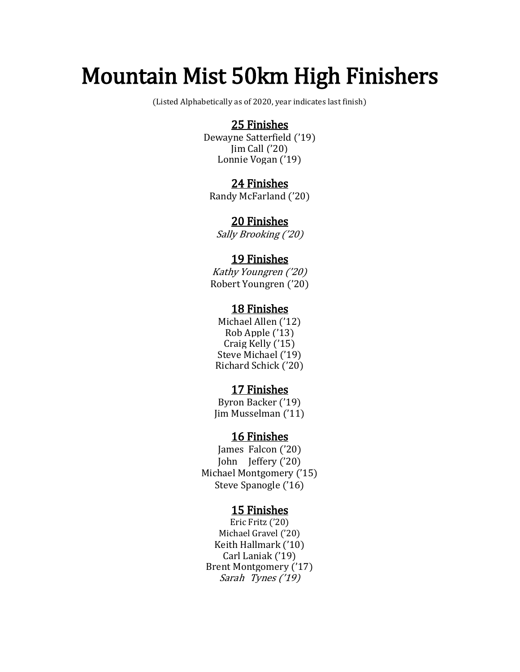# Mountain Mist 50km High Finishers<br>(Listed Alphabetically as of 2020, year indicates last finish)

### 25 Finishes

Dewayne Satterfield ('19) Jim Call ('20) Lonnie Vogan ('19)

### 24 Finishes

Randy McFarland ('20)

## 20 Finishes

Sally Brooking ('20)

### 19 Finishes

Kathy Youngren ('20) Robert Youngren ('20)

### 18 Finishes

Michael Allen ('12) Rob Apple ('13) Craig Kelly ('15) Steve Michael ('19) Richard Schick ('20)

**17 Finishes**<br>Byron Backer ('19) Jim Musselman ('11)

### 16 Finishes

James Falcon ('20) John Jeffery ('20) Michael Montgomery ('15) Steve Spanogle ('16)

**15 Finishes**<br>Eric Fritz ('20)<br>Michael Gravel ('20)<br>Keith Hallmark ('10) Carl Laniak ('19) Brent Montgomery ('17) Sarah Tynes ('19)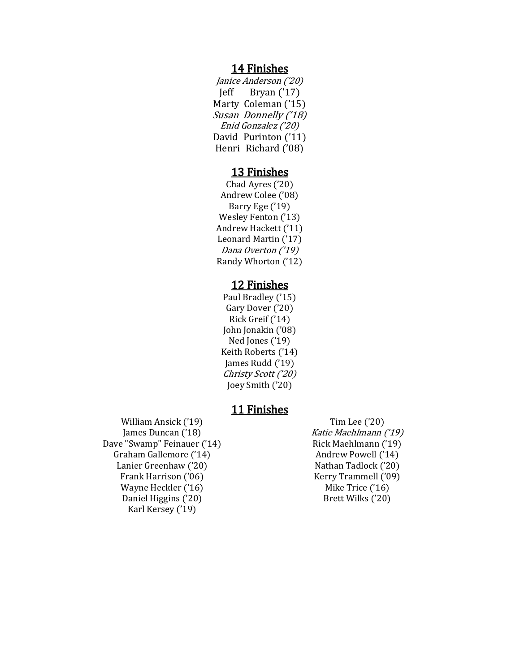**14 Finishes**<br>*Janice Anderson ('20)*<br>Jeff Bryan ('17) Marty Coleman ('15) Susan Donnelly ('18) Enid Gonzalez ('20) David Purinton ('11) Henri Richard ('08)

**13 Finishes**<br>Chad Ayres ('20)<br>Andrew Colee ('08) Barry Ege ('19) Wesley Fenton ('13) Andrew Hackett ('11) Leonard Martin ('17) Dana Overton ('19) Randy Whorton ('12)

**12 Finishes**<br>Paul Bradley ('15)<br>Gary Dover ('20)<br>Rick Greif ('14) John Jonakin ('08) Ned Jones ('19) Keith Roberts ('14) James Rudd ('19) Christy Scott ('20) Joey Smith ('20)

William Ansick ('19)<br>
James Duncan ('18)<br>
Dave "Swamp" Feinauer ('14)<br>
Graham Gallemore ('14)<br>
Lanier Greenhaw ('20)<br>
Frank Harrison ('06)<br>
Wayne Heckler ('16)<br>
Davie Heckler ('16)<br>
Wayne Heckler ('16)<br>
Daniel Higgins ('20